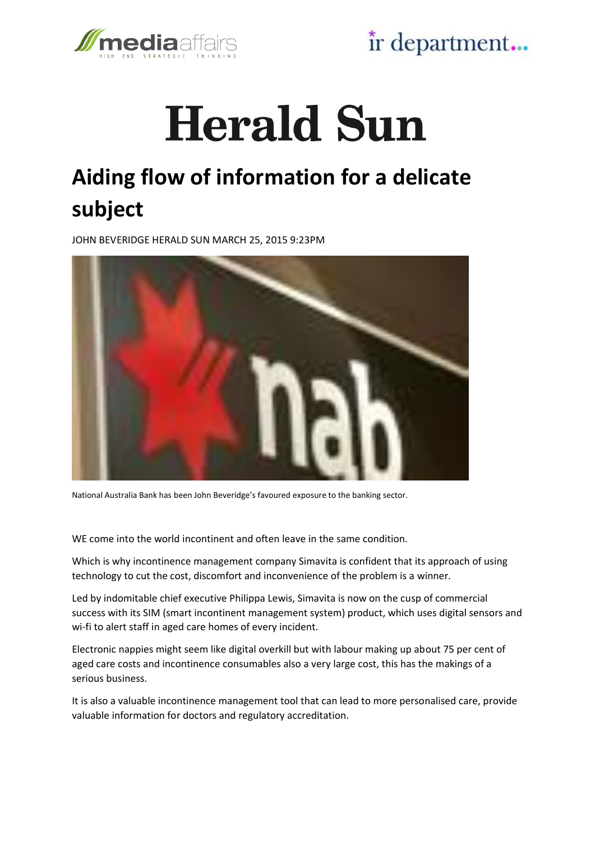

ir department...

## **Herald Sun**

## **Aiding flow of information for a delicate subject**

JOHN BEVERIDGE HERALD SUN MARCH 25, 2015 9:23PM



National Australia Bank has been John Beveridge's favoured exposure to the banking sector.

WE come into the world incontinent and often leave in the same condition.

Which is why incontinence management company Simavita is confident that its approach of using technology to cut the cost, discomfort and inconvenience of the problem is a winner.

Led by indomitable chief executive Philippa Lewis, Simavita is now on the cusp of commercial success with its SIM (smart incontinent management system) product, which uses digital sensors and wi-fi to alert staff in aged care homes of every incident.

Electronic nappies might seem like digital overkill but with labour making up about 75 per cent of aged care costs and incontinence consumables also a very large cost, this has the makings of a serious business.

It is also a valuable incontinence management tool that can lead to more personalised care, provide valuable information for doctors and regulatory accreditation.